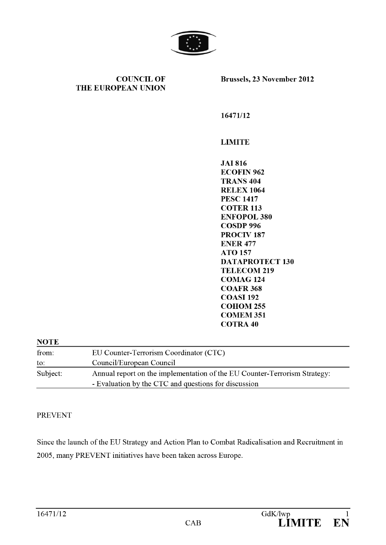

COUNCIL OF THE EUROPEAN UNION Brussels, 23 November 2012

16471/12

LIMITE

/12<br>TE<br>16<br>FIN 962<br>NS 404 JAI 816 ECOFIN 962 TRANS 404 RELEX 1064 PESC 1417 COTER 113 ENFOPOL 380 COSDP 996 PROCIV 187 ENER 477 ATO 157 DATAPROTECT 130 TELECOM 219 COMAG 124 COAFR 368 COASI 192 COHOM 255 COMEM 351 COTRA 40

# **NOTE** from: EU Counter-Terrorism Coordinator (CTC) to: Council/European Council Subject: Annual report on the implementation of the EU Counter-Terrorism Strategy: Evaluation by the CTC and questions for discussion

## **PREVENT**

Since the launch of the EU Strategy and Action Plan to Combat Radicalisation and Recruitment in 2005, many PREVENT initiatives have been taken across Europe.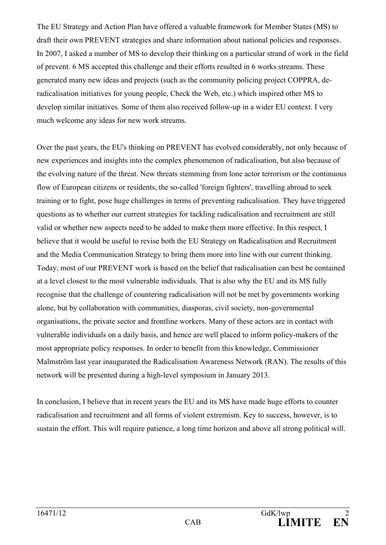The EU Strategy and Action Plan have offered a valuable framework for Member States (MS) to draft their own PREVENT strategies and share information about national policies and responses. In 2007, I asked a number of MS to develop their thinking on a particular strand of work in the field of prevent. 6 MS accepted this challenge and their efforts resulted in 6 works streams. These generated many new ideas and projects (such as the community policing project COPPRA, deradicalisation initiatives for young people, Check the Web, etc.) which inspired other MS to develop similar initiatives. Some of them also received follow-up in a wider EU context. I very much welcome any ideas for new work streams.

Over the past years, the EU's thinking on PREVENT has evolved considerably, not only because of new experiences and insights into the complex phenomenon of radicalisation, but also because of the evolving nature of the threat. New threats stemming from lone actor terrorism or the continuous flow of European citizens or residents, the so-called 'foreign fighters', travelling abroad to seek training or to fight, pose huge challenges in terms of preventing radicalisation. They have triggered questions as to whether our current strategies for tackling radicalisation and recruitment are still valid or whether new aspects need to be added to make them more effective. In this respect, I believe that it would be useful to revise both the EU Strategy on Radicalisation and Recruitment and the Media Communication Strategy to bring them more into line with our current thinking. Today, most of our PREVENT work is based on the belief that radicalisation can best be contained at a level closest to the most vulnerable individuals. That is also why the EU and its MS fully recognise that the challenge of countering radicalisation will not be met by governments working alone, but by collaboration with communities, diasporas, civil society, non-governmental organisations, the private sector and frontline workers. Many of these actors are in contact with vulnerable individuals on a daily basis, and hence are well placed to inform policy-makers of the most appropriate policy responses. In order to benefit from this knowledge, Commissioner Malmström last year inaugurated the [Radicalisation Awareness Network \(RAN\).](http://ec.europa.eu/dgs/home-affairs/what-is-new/news/news/2011/20110909_en.htm) The results of this network will be presented during a high-level symposium in January 2013.

In conclusion, I believe that in recent years the EU and its MS have made huge efforts to counter radicalisation and recruitment and all forms of violent extremism. Key to success, however, is to sustain the effort. This will require patience, a long time horizon and above all strong political will.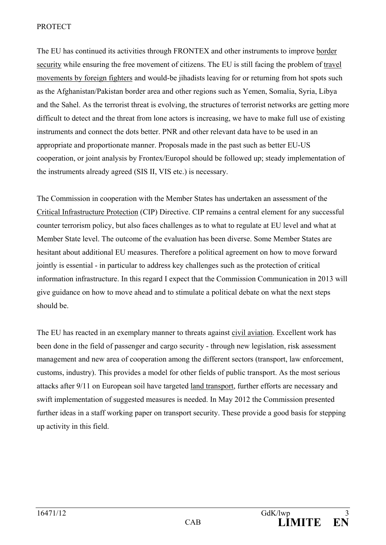#### PROTECT

The EU has continued its activities through FRONTEX and other instruments to improve border security while ensuring the free movement of citizens. The EU is still facing the problem of travel movements by foreign fighters and would-be jihadists leaving for or returning from hot spots such as the Afghanistan/Pakistan border area and other regions such as Yemen, Somalia, Syria, Libya and the Sahel. As the terrorist threat is evolving, the structures of terrorist networks are getting more difficult to detect and the threat from lone actors is increasing, we have to make full use of existing instruments and connect the dots better. PNR and other relevant data have to be used in an appropriate and proportionate manner. Proposals made in the past such as better EU-US cooperation, or joint analysis by Frontex/Europol should be followed up; steady implementation of the instruments already agreed (SIS II, VIS etc.) is necessary.

The Commission in cooperation with the Member States has undertaken an assessment of the Critical Infrastructure Protection (CIP) Directive. CIP remains a central element for any successful counter terrorism policy, but also faces challenges as to what to regulate at EU level and what at Member State level. The outcome of the evaluation has been diverse. Some Member States are hesitant about additional EU measures. Therefore a political agreement on how to move forward jointly is essential - in particular to address key challenges such as the protection of critical information infrastructure. In this regard I expect that the Commission Communication in 2013 will give guidance on how to move ahead and to stimulate a political debate on what the next steps should be.

The EU has reacted in an exemplary manner to threats against civil aviation. Excellent work has been done in the field of passenger and cargo security - through new legislation, risk assessment management and new area of cooperation among the different sectors (transport, law enforcement, customs, industry). This provides a model for other fields of public transport. As the most serious attacks after 9/11 on European soil have targeted land transport, further efforts are necessary and swift implementation of suggested measures is needed. In May 2012 the Commission presented further ideas in a staff working paper on transport security. These provide a good basis for stepping up activity in this field.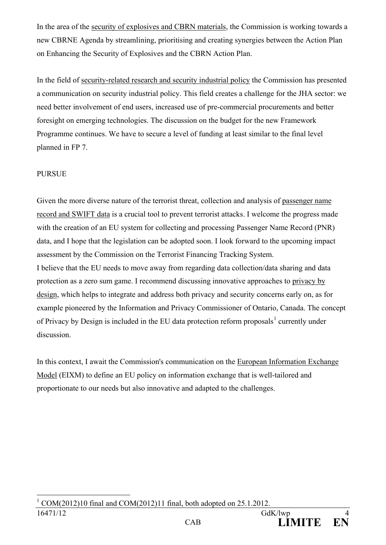In the area of the security of explosives and CBRN materials, the Commission is working towards a new CBRNE Agenda by streamlining, prioritising and creating synergies between the Action Plan on Enhancing the Security of Explosives and the CBRN Action Plan.

In the field of security-related research and security industrial policy the Commission has presented a communication on security industrial policy. This field creates a challenge for the JHA sector: we need better involvement of end users, increased use of pre-commercial procurements and better foresight on emerging technologies. The discussion on the budget for the new Framework Programme continues. We have to secure a level of funding at least similar to the final level planned in FP 7.

## PURSUE

Given the more diverse nature of the terrorist threat, collection and analysis of passenger name record and SWIFT data is a crucial tool to prevent terrorist attacks. I welcome the progress made with the creation of an EU system for collecting and processing Passenger Name Record (PNR) data, and I hope that the legislation can be adopted soon. I look forward to the upcoming impact assessment by the Commission on the Terrorist Financing Tracking System. I believe that the EU needs to move away from regarding data collection/data sharing and data protection as a zero sum game. I recommend discussing innovative approaches to privacy by design, which helps to integrate and address both privacy and security concerns early on, as for example pioneered by the Information and Privacy Commissioner of Ontario, Canada. The concept of Privacy by Design is included in the EU data protection reform proposals<sup>[1](#page-3-0)</sup> currently under discussion.

<span id="page-3-0"></span>In this context, I await the Commission's communication on the European Information Exchange Model (EIXM) to define an EU policy on information exchange that is well-tailored and proportionate to our needs but also innovative and adapted to the challenges.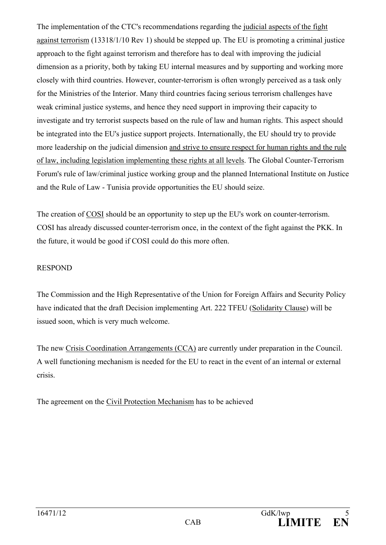The implementation of the CTC's recommendations regarding the judicial aspects of the fight against terrorism (13318/1/10 Rev 1) should be stepped up. The EU is promoting a criminal justice approach to the fight against terrorism and therefore has to deal with improving the judicial dimension as a priority, both by taking EU internal measures and by supporting and working more closely with third countries. However, counter-terrorism is often wrongly perceived as a task only for the Ministries of the Interior. Many third countries facing serious terrorism challenges have weak criminal justice systems, and hence they need support in improving their capacity to investigate and try terrorist suspects based on the rule of law and human rights. This aspect should be integrated into the EU's justice support projects. Internationally, the EU should try to provide more leadership on the judicial dimension and strive to ensure respect for human rights and the rule of law, including legislation implementing these rights at all levels. The Global Counter-Terrorism Forum's rule of law/criminal justice working group and the planned International Institute on Justice and the Rule of Law - Tunisia provide opportunities the EU should seize.

The creation of COSI should be an opportunity to step up the EU's work on counter-terrorism. COSI has already discussed counter-terrorism once, in the context of the fight against the PKK. In the future, it would be good if COSI could do this more often.

## RESPOND

The Commission and the High Representative of the Union for Foreign Affairs and Security Policy have indicated that the draft Decision implementing Art. 222 TFEU (Solidarity Clause) will be issued soon, which is very much welcome.

The new Crisis Coordination Arrangements (CCA) are currently under preparation in the Council. A well functioning mechanism is needed for the EU to react in the event of an internal or external crisis.

The agreement on the Civil Protection Mechanism has to be achieved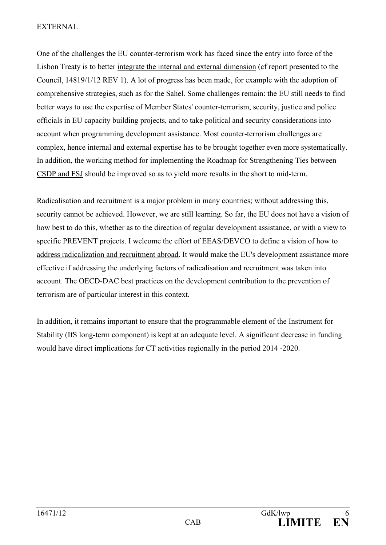#### EXTERNAL

One of the challenges the EU counter-terrorism work has faced since the entry into force of the Lisbon Treaty is to better integrate the internal and external dimension (cf report presented to the Council, 14819/1/12 REV 1). A lot of progress has been made, for example with the adoption of comprehensive strategies, such as for the Sahel. Some challenges remain: the EU still needs to find better ways to use the expertise of Member States' counter-terrorism, security, justice and police officials in EU capacity building projects, and to take political and security considerations into account when programming development assistance. Most counter-terrorism challenges are complex, hence internal and external expertise has to be brought together even more systematically. In addition, the working method for implementing the Roadmap for Strengthening Ties between CSDP and FSJ should be improved so as to yield more results in the short to mid-term.

Radicalisation and recruitment is a major problem in many countries; without addressing this, security cannot be achieved. However, we are still learning. So far, the EU does not have a vision of how best to do this, whether as to the direction of regular development assistance, or with a view to specific PREVENT projects. I welcome the effort of EEAS/DEVCO to define a vision of how to address radicalization and recruitment abroad. It would make the EU's development assistance more effective if addressing the underlying factors of radicalisation and recruitment was taken into account. The OECD-DAC best practices on the development contribution to the prevention of terrorism are of particular interest in this context.

In addition, it remains important to ensure that the programmable element of the Instrument for Stability (IfS long-term component) is kept at an adequate level. A significant decrease in funding would have direct implications for CT activities regionally in the period 2014 -2020.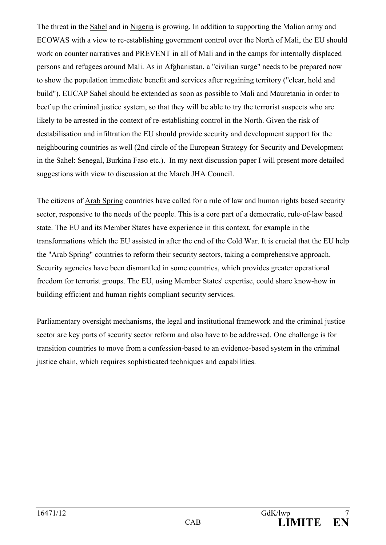The threat in the Sahel and in Nigeria is growing. In addition to supporting the Malian army and ECOWAS with a view to re-establishing government control over the North of Mali, the EU should work on counter narratives and PREVENT in all of Mali and in the camps for internally displaced persons and refugees around Mali. As in Afghanistan, a "civilian surge" needs to be prepared now to show the population immediate benefit and services after regaining territory ("clear, hold and build"). EUCAP Sahel should be extended as soon as possible to Mali and Mauretania in order to beef up the criminal justice system, so that they will be able to try the terrorist suspects who are likely to be arrested in the context of re-establishing control in the North. Given the risk of destabilisation and infiltration the EU should provide security and development support for the neighbouring countries as well (2nd circle of the European Strategy for Security and Development in the Sahel: Senegal, Burkina Faso etc.). In my next discussion paper I will present more detailed suggestions with view to discussion at the March JHA Council.

The citizens of Arab Spring countries have called for a rule of law and human rights based security sector, responsive to the needs of the people. This is a core part of a democratic, rule-of-law based state. The EU and its Member States have experience in this context, for example in the transformations which the EU assisted in after the end of the Cold War. It is crucial that the EU help the "Arab Spring" countries to reform their security sectors, taking a comprehensive approach. Security agencies have been dismantled in some countries, which provides greater operational freedom for terrorist groups. The EU, using Member States' expertise, could share know-how in building efficient and human rights compliant security services.

Parliamentary oversight mechanisms, the legal and institutional framework and the criminal justice sector are key parts of security sector reform and also have to be addressed. One challenge is for transition countries to move from a confession-based to an evidence-based system in the criminal justice chain, which requires sophisticated techniques and capabilities.